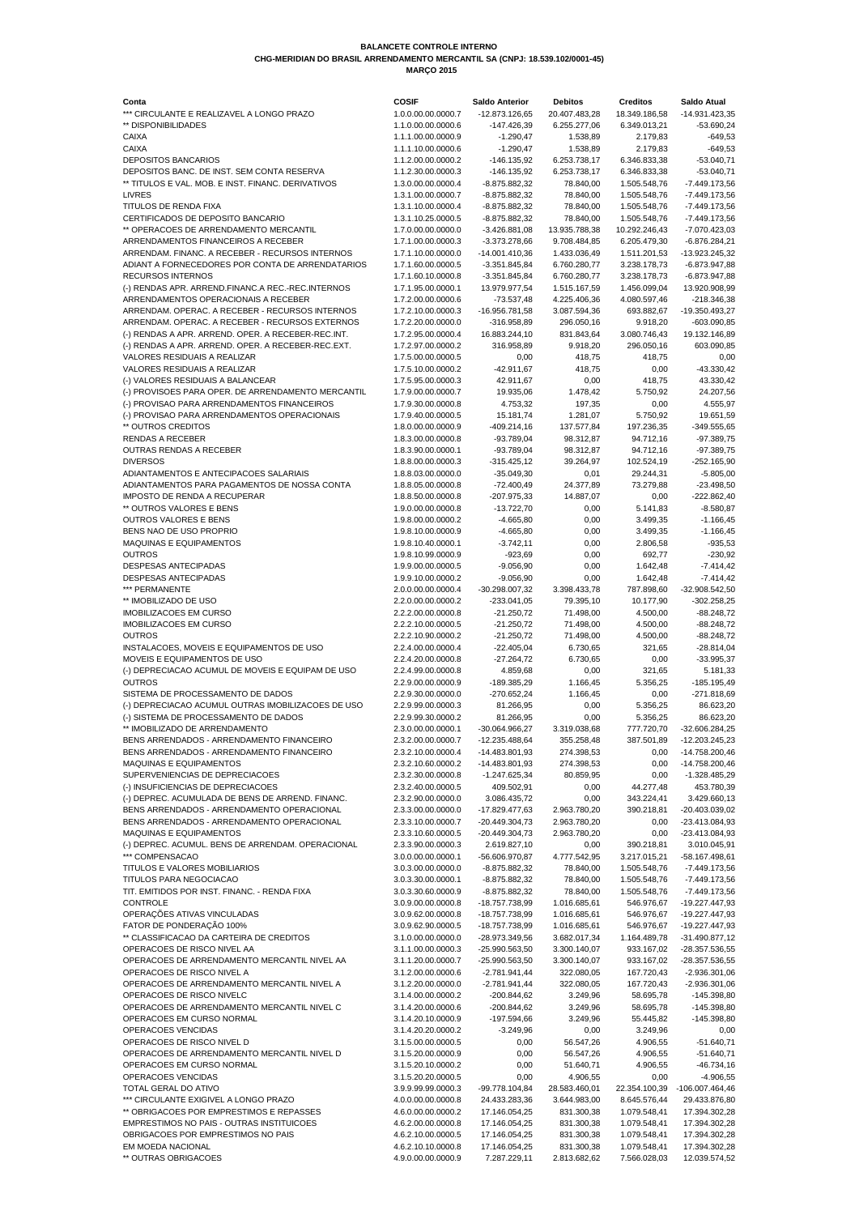| Conta                                              | <b>COSIF</b>       | <b>Saldo Anterior</b> | <b>Debitos</b> | <b>Creditos</b> | Saldo Atual      |
|----------------------------------------------------|--------------------|-----------------------|----------------|-----------------|------------------|
| *** CIRCULANTE E REALIZAVEL A LONGO PRAZO          | 1.0.0.00.00.0000.7 | -12.873.126,65        | 20.407.483,28  | 18.349.186,58   | -14.931.423,35   |
| ** DISPONIBILIDADES                                | 1.1.0.00.00.0000.6 | $-147.426,39$         | 6.255.277,06   | 6.349.013,21    | $-53.690,24$     |
| <b>CAIXA</b>                                       | 1.1.1.00.00.0000.9 | $-1.290,47$           | 1.538,89       | 2.179,83        | $-649,53$        |
| <b>CAIXA</b>                                       |                    |                       |                |                 |                  |
|                                                    | 1.1.1.10.00.0000.6 | $-1.290,47$           | 1.538,89       | 2.179,83        | $-649,53$        |
| <b>DEPOSITOS BANCARIOS</b>                         | 1.1.2.00.00.0000.2 | $-146.135,92$         | 6.253.738,17   | 6.346.833,38    | $-53.040,71$     |
| DEPOSITOS BANC. DE INST. SEM CONTA RESERVA         | 1.1.2.30.00.0000.3 | $-146.135,92$         | 6.253.738,17   | 6.346.833,38    | $-53.040,71$     |
| ** TITULOS E VAL. MOB. E INST. FINANC. DERIVATIVOS | 1.3.0.00.00.0000.4 | $-8.875.882,32$       | 78.840,00      | 1.505.548,76    | -7.449.173,56    |
| <b>LIVRES</b>                                      |                    |                       |                |                 |                  |
|                                                    | 1.3.1.00.00.0000.7 | $-8.875.882,32$       | 78.840,00      | 1.505.548,76    | -7.449.173,56    |
| TITULOS DE RENDA FIXA                              | 1.3.1.10.00.0000.4 | $-8.875.882,32$       | 78.840,00      | 1.505.548,76    | -7.449.173,56    |
| CERTIFICADOS DE DEPOSITO BANCARIO                  | 1.3.1.10.25.0000.5 | $-8.875.882,32$       | 78.840,00      | 1.505.548,76    | -7.449.173,56    |
| ** OPERACOES DE ARRENDAMENTO MERCANTIL             | 1.7.0.00.00.0000.0 | $-3.426.881,08$       | 13.935.788,38  | 10.292.246,43   | -7.070.423,03    |
| ARRENDAMENTOS FINANCEIROS A RECEBER                |                    |                       |                |                 |                  |
|                                                    | 1.7.1.00.00.0000.3 | $-3.373.278,66$       | 9.708.484,85   | 6.205.479,30    | $-6.876.284,21$  |
| ARRENDAM. FINANC. A RECEBER - RECURSOS INTERNOS    | 1.7.1.10.00.0000.0 | $-14.001.410,36$      | 1.433.036,49   | 1.511.201,53    | -13.923.245,32   |
| ADIANT A FORNECEDORES POR CONTA DE ARRENDATARIOS   | 1.7.1.60.00.0000.5 | $-3.351.845,84$       | 6.760.280,77   | 3.238.178,73    | -6.873.947,88    |
| <b>RECURSOS INTERNOS</b>                           | 1.7.1.60.10.0000.8 | $-3.351.845,84$       | 6.760.280,77   | 3.238.178,73    | -6.873.947,88    |
| (-) RENDAS APR. ARREND.FINANC.A REC.-REC.INTERNOS  | 1.7.1.95.00.0000.1 | 13.979.977,54         | 1.515.167,59   | 1.456.099,04    | 13.920.908,99    |
|                                                    |                    |                       |                |                 |                  |
| ARRENDAMENTOS OPERACIONAIS A RECEBER               | 1.7.2.00.00.0000.6 | $-73.537,48$          | 4.225.406,36   | 4.080.597,46    | $-218.346,38$    |
| ARRENDAM. OPERAC. A RECEBER - RECURSOS INTERNOS    | 1.7.2.10.00.0000.3 | -16.956.781,58        | 3.087.594,36   | 693.882,67      | -19.350.493,27   |
| ARRENDAM. OPERAC. A RECEBER - RECURSOS EXTERNOS    | 1.7.2.20.00.0000.0 | $-316.958,89$         | 296.050,16     | 9.918,20        | $-603.090,85$    |
| (-) RENDAS A APR. ARREND. OPER. A RECEBER-REC.INT. | 1.7.2.95.00.0000.4 | 16.883.244,10         | 831.843,64     | 3.080.746,43    | 19.132.146,89    |
|                                                    |                    |                       |                |                 |                  |
| (-) RENDAS A APR. ARREND. OPER. A RECEBER-REC.EXT. | 1.7.2.97.00.0000.2 | 316.958,89            | 9.918,20       | 296.050,16      | 603.090,85       |
| <b>VALORES RESIDUAIS A REALIZAR</b>                | 1.7.5.00.00.0000.5 | 0,00                  | 418,75         | 418,75          | 0,00             |
| <b>VALORES RESIDUAIS A REALIZAR</b>                | 1.7.5.10.00.0000.2 | $-42.911,67$          | 418,75         | 0,00            | $-43.330,42$     |
| (-) VALORES RESIDUAIS A BALANCEAR                  | 1.7.5.95.00.0000.3 | 42.911,67             | 0,00           | 418,75          | 43.330,42        |
|                                                    | 1.7.9.00.00.0000.7 |                       |                |                 |                  |
| (-) PROVISOES PARA OPER. DE ARRENDAMENTO MERCANTIL |                    | 19.935,06             | 1.478,42       | 5.750,92        | 24.207,56        |
| (-) PROVISAO PARA ARRENDAMENTOS FINANCEIROS        | 1.7.9.30.00.0000.8 | 4.753,32              | 197,35         | 0,00            | 4.555,97         |
| (-) PROVISAO PARA ARRENDAMENTOS OPERACIONAIS       | 1.7.9.40.00.0000.5 | 15.181,74             | 1.281,07       | 5.750,92        | 19.651,59        |
| ** OUTROS CREDITOS                                 | 1.8.0.00.00.0000.9 | $-409.214,16$         | 137.577,84     | 197.236,35      | $-349.555,65$    |
| <b>RENDAS A RECEBER</b>                            |                    |                       |                |                 |                  |
|                                                    | 1.8.3.00.00.0000.8 | $-93.789,04$          | 98.312,87      | 94.712,16       | $-97.389,75$     |
| <b>OUTRAS RENDAS A RECEBER</b>                     | 1.8.3.90.00.0000.1 | -93.789,04            | 98.312,87      | 94.712,16       | $-97.389,75$     |
| <b>DIVERSOS</b>                                    | 1.8.8.00.00.0000.3 | $-315.425,12$         | 39.264,97      | 102.524,19      | $-252.165,90$    |
| ADIANTAMENTOS E ANTECIPACOES SALARIAIS             | 1.8.8.03.00.0000.0 | $-35.049,30$          | 0,01           | 29.244,31       | $-5.805,00$      |
| ADIANTAMENTOS PARA PAGAMENTOS DE NOSSA CONTA       | 1.8.8.05.00.0000.8 | $-72.400,49$          | 24.377,89      | 73.279,88       | $-23.498,50$     |
|                                                    |                    |                       |                |                 |                  |
| <b>IMPOSTO DE RENDA A RECUPERAR</b>                | 1.8.8.50.00.0000.8 | $-207.975,33$         | 14.887,07      | 0,00            | $-222.862,40$    |
| ** OUTROS VALORES E BENS                           | 1.9.0.00.00.0000.8 | $-13.722,70$          | 0,00           | 5.141,83        | $-8.580,87$      |
| <b>OUTROS VALORES E BENS</b>                       | 1.9.8.00.00.0000.2 | $-4.665,80$           | 0,00           | 3.499,35        | $-1.166,45$      |
| BENS NAO DE USO PROPRIO                            | 1.9.8.10.00.0000.9 | $-4.665,80$           | 0,00           | 3.499,35        | $-1.166,45$      |
|                                                    |                    |                       |                |                 |                  |
| <b>MAQUINAS E EQUIPAMENTOS</b>                     | 1.9.8.10.40.0000.1 | $-3.742,11$           | 0,00           | 2.806,58        | $-935,53$        |
| <b>OUTROS</b>                                      | 1.9.8.10.99.0000.9 | $-923,69$             | 0,00           | 692,77          | $-230,92$        |
| <b>DESPESAS ANTECIPADAS</b>                        | 1.9.9.00.00.0000.5 | $-9.056,90$           | 0,00           | 1.642,48        | $-7.414,42$      |
| <b>DESPESAS ANTECIPADAS</b>                        | 1.9.9.10.00.0000.2 | $-9.056,90$           | 0,00           | 1.642,48        | $-7.414,42$      |
|                                                    |                    |                       |                |                 |                  |
| *** PERMANENTE                                     | 2.0.0.00.00.0000.4 | -30.298.007,32        | 3.398.433,78   | 787.898,60      | $-32.908.542,50$ |
| ** IMOBILIZADO DE USO                              | 2.2.0.00.00.0000.2 | $-233.041,05$         | 79.395,10      | 10.177,90       | $-302.258,25$    |
| <b>IMOBILIZACOES EM CURSO</b>                      | 2.2.2.00.00.0000.8 | $-21.250,72$          | 71.498,00      | 4.500,00        | $-88.248,72$     |
| <b>IMOBILIZACOES EM CURSO</b>                      | 2.2.2.10.00.0000.5 | $-21.250,72$          | 71.498,00      | 4.500,00        | $-88.248,72$     |
|                                                    |                    |                       |                |                 |                  |
| <b>OUTROS</b>                                      | 2.2.2.10.90.0000.2 | $-21.250,72$          | 71.498,00      | 4.500,00        | $-88.248,72$     |
| INSTALACOES, MOVEIS E EQUIPAMENTOS DE USO          | 2.2.4.00.00.0000.4 | $-22.405,04$          | 6.730,65       | 321,65          | $-28.814,04$     |
| MOVEIS E EQUIPAMENTOS DE USO                       | 2.2.4.20.00.0000.8 | $-27.264,72$          | 6.730,65       | 0,00            | $-33.995,37$     |
| (-) DEPRECIACAO ACUMUL DE MOVEIS E EQUIPAM DE USO  | 2.2.4.99.00.0000.8 | 4.859,68              | 0,00           | 321,65          | 5.181,33         |
|                                                    |                    |                       |                |                 |                  |
| <b>OUTROS</b>                                      | 2.2.9.00.00.0000.9 | -189.385,29           | 1.166,45       | 5.356,25        | $-185.195,49$    |
| SISTEMA DE PROCESSAMENTO DE DADOS                  | 2.2.9.30.00.0000.0 | $-270.652,24$         | 1.166,45       | 0,00            | $-271.818,69$    |
| (-) DEPRECIACAO ACUMUL OUTRAS IMOBILIZACOES DE USO | 2.2.9.99.00.0000.3 | 81.266,95             | 0,00           | 5.356,25        | 86.623,20        |
| (-) SISTEMA DE PROCESSAMENTO DE DADOS              | 2.2.9.99.30.0000.2 | 81.266,95             | 0,00           | 5.356,25        | 86.623,20        |
|                                                    |                    |                       |                |                 |                  |
| ** IMOBILIZADO DE ARRENDAMENTO                     | 2.3.0.00.00.0000.1 | -30.064.966,27        | 3.319.038,68   | 777.720,70      | -32.606.284,25   |
| BENS ARRENDADOS - ARRENDAMENTO FINANCEIRO          | 2.3.2.00.00.0000.7 | $-12.235.488,64$      | 355.258,48     | 387.501,89      | $-12.203.245,23$ |
| BENS ARRENDADOS - ARRENDAMENTO FINANCEIRO          | 2.3.2.10.00.0000.4 | -14.483.801,93        | 274.398,53     | 0,00            | -14.758.200,46   |
| <b>MAQUINAS E EQUIPAMENTOS</b>                     | 2.3.2.10.60.0000.2 | -14.483.801,93        | 274.398,53     | 0,00            | -14.758.200,46   |
|                                                    |                    |                       | 80.859,95      |                 |                  |
| SUPERVENIENCIAS DE DEPRECIACOES                    | 2.3.2.30.00.0000.8 | -1.247.625,34         |                | 0,00            | -1.328.485,29    |
| (-) INSUFICIENCIAS DE DEPRECIACOES                 | 2.3.2.40.00.0000.5 | 409.502,91            | 0,00           | 44.277,48       | 453.780,39       |
| (-) DEPREC. ACUMULADA DE BENS DE ARREND. FINANC.   | 2.3.2.90.00.0000.0 | 3.086.435,72          | 0,00           | 343.224,41      | 3.429.660,13     |
| BENS ARRENDADOS - ARRENDAMENTO OPERACIONAL         | 2.3.3.00.00.0000.0 | -17.829.477,63        | 2.963.780,20   | 390.218,81      | -20.403.039,02   |
| BENS ARRENDADOS - ARRENDAMENTO OPERACIONAL         | 2.3.3.10.00.0000.7 | -20.449.304,73        | 2.963.780,20   | 0.00            | -23.413.084,93   |
|                                                    |                    |                       |                |                 |                  |
| <b>MAQUINAS E EQUIPAMENTOS</b>                     | 2.3.3.10.60.0000.5 | -20.449.304,73        | 2.963.780,20   | 0,00            | -23.413.084,93   |
| (-) DEPREC. ACUMUL. BENS DE ARRENDAM. OPERACIONAL  | 2.3.3.90.00.0000.3 | 2.619.827,10          | 0,00           | 390.218,81      | 3.010.045,91     |
| *** COMPENSACAO                                    | 3.0.0.00.00.0000.1 | -56.606.970,87        | 4.777.542,95   | 3.217.015,21    | -58.167.498,61   |
| TITULOS E VALORES MOBILIARIOS                      | 3.0.3.00.00.0000.0 | $-8.875.882,32$       | 78.840,00      | 1.505.548,76    | -7.449.173,56    |
|                                                    |                    |                       |                |                 |                  |
| TITULOS PARA NEGOCIACAO                            | 3.0.3.30.00.0000.1 | $-8.875.882,32$       | 78.840,00      | 1.505.548,76    | -7.449.173,56    |
| TIT. EMITIDOS POR INST. FINANC. - RENDA FIXA       | 3.0.3.30.60.0000.9 | $-8.875.882,32$       | 78.840,00      | 1.505.548,76    | -7.449.173,56    |
| <b>CONTROLE</b>                                    | 3.0.9.00.00.0000.8 | -18.757.738,99        | 1.016.685,61   | 546.976,67      | -19.227.447,93   |
| OPERAÇÕES ATIVAS VINCULADAS                        | 3.0.9.62.00.0000.8 | -18.757.738,99        | 1.016.685,61   | 546.976,67      | -19.227.447,93   |
| FATOR DE PONDERAÇÃO 100%                           | 3.0.9.62.90.0000.5 | -18.757.738,99        | 1.016.685,61   | 546.976,67      | -19.227.447,93   |
|                                                    |                    |                       |                |                 |                  |
| ** CLASSIFICACAO DA CARTEIRA DE CREDITOS           | 3.1.0.00.00.0000.0 | -28.973.349,56        | 3.682.017,34   | 1.164.489,78    | $-31.490.877,12$ |
| OPERACOES DE RISCO NIVEL AA                        | 3.1.1.00.00.0000.3 | -25.990.563,50        | 3.300.140,07   | 933.167,02      | -28.357.536,55   |
| OPERACOES DE ARRENDAMENTO MERCANTIL NIVEL AA       | 3.1.1.20.00.0000.7 | -25.990.563,50        | 3.300.140,07   | 933.167,02      | -28.357.536,55   |
| OPERACOES DE RISCO NIVEL A                         | 3.1.2.00.00.0000.6 | $-2.781.941,44$       | 322.080,05     | 167.720,43      | $-2.936.301,06$  |
|                                                    |                    |                       |                |                 |                  |
| OPERACOES DE ARRENDAMENTO MERCANTIL NIVEL A        | 3.1.2.20.00.0000.0 | $-2.781.941,44$       | 322.080,05     | 167.720,43      | $-2.936.301,06$  |
| OPERACOES DE RISCO NIVELC                          | 3.1.4.00.00.0000.2 | $-200.844,62$         | 3.249,96       | 58.695,78       | $-145.398,80$    |
| OPERACOES DE ARRENDAMENTO MERCANTIL NIVEL C        | 3.1.4.20.00.0000.6 | $-200.844,62$         | 3.249,96       | 58.695,78       | -145.398,80      |
| OPERACOES EM CURSO NORMAL                          | 3.1.4.20.10.0000.9 | $-197.594,66$         | 3.249,96       | 55.445,82       | $-145.398,80$    |
|                                                    |                    |                       |                |                 |                  |
| OPERACOES VENCIDAS                                 | 3.1.4.20.20.0000.2 | $-3.249,96$           | 0,00           | 3.249,96        | 0,00             |
| OPERACOES DE RISCO NIVEL D                         | 3.1.5.00.00.0000.5 | 0,00                  | 56.547,26      | 4.906,55        | $-51.640,71$     |
| OPERACOES DE ARRENDAMENTO MERCANTIL NIVEL D        | 3.1.5.20.00.0000.9 | 0,00                  | 56.547,26      | 4.906,55        | $-51.640,71$     |
| OPERACOES EM CURSO NORMAL                          | 3.1.5.20.10.0000.2 | 0,00                  | 51.640,71      | 4.906,55        | $-46.734,16$     |
|                                                    |                    |                       |                |                 |                  |
| OPERACOES VENCIDAS                                 | 3.1.5.20.20.0000.5 | 0,00                  | 4.906,55       | 0,00            | $-4.906,55$      |
| <b>TOTAL GERAL DO ATIVO</b>                        | 3.9.9.99.99.0000.3 | -99.778.104,84        | 28.583.460,01  | 22.354.100,39   | -106.007.464,46  |
| *** CIRCULANTE EXIGIVEL A LONGO PRAZO              | 4.0.0.00.00.0000.8 | 24.433.283,36         | 3.644.983,00   | 8.645.576,44    | 29.433.876,80    |
| ** OBRIGACOES POR EMPRESTIMOS E REPASSES           | 4.6.0.00.00.0000.2 | 17.146.054,25         | 831.300,38     | 1.079.548,41    | 17.394.302,28    |
| EMPRESTIMOS NO PAIS - OUTRAS INSTITUICOES          |                    |                       |                |                 |                  |
|                                                    | 4.6.2.00.00.0000.8 | 17.146.054,25         | 831.300,38     | 1.079.548,41    | 17.394.302,28    |
| OBRIGACOES POR EMPRESTIMOS NO PAIS                 |                    |                       |                |                 |                  |
|                                                    | 4.6.2.10.00.0000.5 | 17.146.054,25         | 831.300,38     | 1.079.548,41    | 17.394.302,28    |
| EM MOEDA NACIONAL                                  | 4.6.2.10.10.0000.8 | 17.146.054,25         | 831.300,38     | 1.079.548,41    | 17.394.302,28    |

## **BALANCETE CONTROLE INTERNO CHG-MERIDIAN DO BRASIL ARRENDAMENTO MERCANTIL SA (CNPJ: 18.539.102/0001-45)**

 **MARÇO 2015**